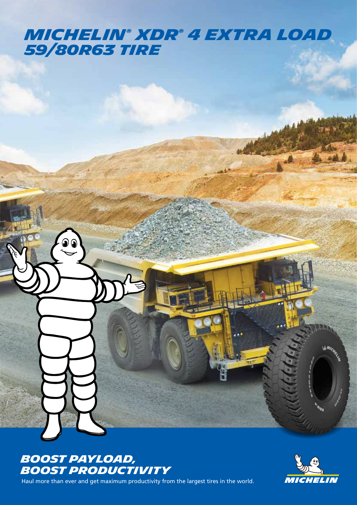## *MICHELIN® XDR® 4 EXTRA LOAD 59/80R63 tire*



Haul more than ever and get maximum productivity from the largest tires in the world.

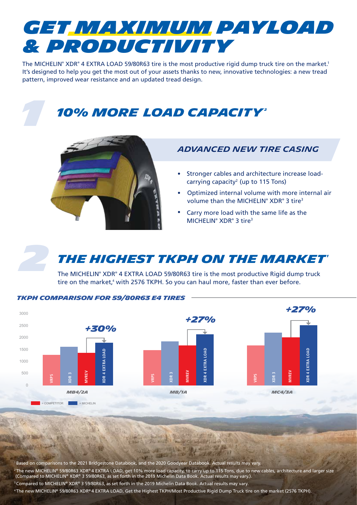

The MICHELIN® XDR® 4 EXTRA LOAD 59/80R63 tire is the most productive rigid dump truck tire on the market.<sup>1</sup> It's designed to help you get the most out of your assets thanks to new, innovative technologies: a new tread pattern, improved wear resistance and an updated tread design.

## **10% MORE LOAD CAPACITY**



#### *ADVANCED NEW TIRE CASING*

- Stronger cables and architecture increase loadcarrying capacity2 (up to 115 Tons)
- Optimized internal volume with more internal air volume than the MICHELIN<sup>®</sup> XDR<sup>®</sup> 3 tire<sup>3</sup> •
- Carry more load with the same life as the MICHELIN<sup>®</sup> XDR<sup>®</sup> 3 tire<sup>3</sup> •



*1*

### *THE HIGHEST TKPH ON THE MARKET*

The MICHELIN® XDR® 4 EXTRA LOAD 59/80R63 tire is the most productive Rigid dump truck tire on the market,<sup>4</sup> with 2576 TKPH. So you can haul more, faster than ever before.



1Based on comparisons to the 2021 Bridgestone Databook, and the 2020 Goodyear Databook. Actual results may vary. <sup>2</sup> The new MICHELIN® 59/80R63 XDR® 4 EXTRA LOAD, get 10% more load capacity, to carry up to 115 Tons, due to new cables, architecture and larger size (Compared to MICHELIN® XDR® 3 59/80R63, as set forth in the 2019 Michelin Data Book. Actual results may vary.). 3Compared to MICHELIN® XDR® 3 59/80R63, as set forth in the 2019 Michelin Data Book. Actual results may vary. <sup>4</sup> The new MICHELIN® 59/80R63 XDR® 4 EXTRA LOAD, Get the Highest TKPH/Most Productive Rigid Dump Truck tire on the market (2576 TKPH).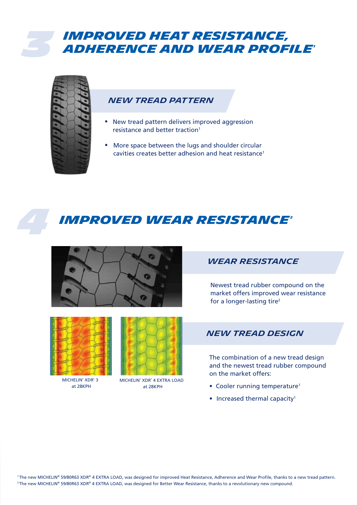### *3 IMPROVED HEAT RESISTANCE, ADHERENCE AND WEAR PROFILE1*



#### *NEW TREAD PATTERN*

- New tread pattern delivers improved aggression resistance and better traction1
- More space between the lugs and shoulder circular cavities creates better adhesion and heat resistance<sup>1</sup>

### *4 IMPROVED WEAR RESISTANCE2*





MICHELIN<sup>®</sup> XDR<sup>®</sup> 3



at 28KPH at 28KPH MICHELIN® XDR® 4 EXTRA LOAD

### *WEAR RESISTANCE*

Newest tread rubber compound on the market offers improved wear resistance for a longer-lasting tire2

#### *NEW TREAD DESIGN*

The combination of a new tread design and the newest tread rubber compound on the market offers:

- Cooler running temperature<sup>1</sup>
- Increased thermal capacity<sup>1</sup>

1The new MICHELIN® 59/80R63 XDR® 4 EXTRA LOAD, was designed for improved Heat Resistance, Adherence and Wear Profile, thanks to a new tread pattern. <sup>2</sup> The new MICHELIN® 59/80R63 XDR® 4 EXTRA LOAD, was designed for Better Wear Resistance, thanks to a revolutionary new compound.